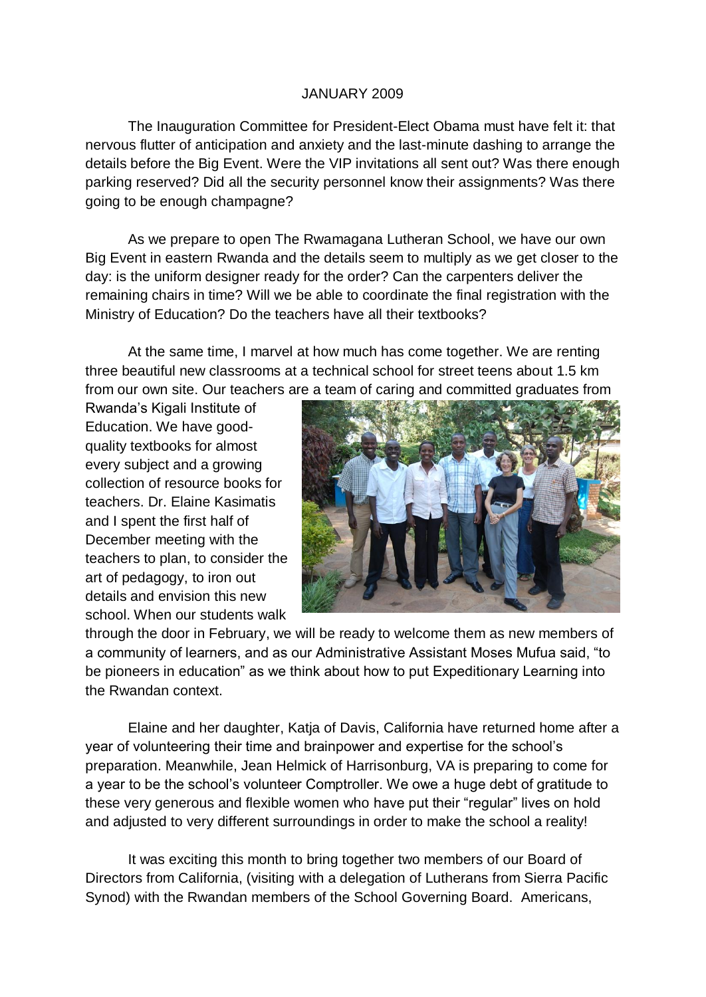## JANUARY 2009

The Inauguration Committee for President-Elect Obama must have felt it: that nervous flutter of anticipation and anxiety and the last-minute dashing to arrange the details before the Big Event. Were the VIP invitations all sent out? Was there enough parking reserved? Did all the security personnel know their assignments? Was there going to be enough champagne?

As we prepare to open The Rwamagana Lutheran School, we have our own Big Event in eastern Rwanda and the details seem to multiply as we get closer to the day: is the uniform designer ready for the order? Can the carpenters deliver the remaining chairs in time? Will we be able to coordinate the final registration with the Ministry of Education? Do the teachers have all their textbooks?

At the same time, I marvel at how much has come together. We are renting three beautiful new classrooms at a technical school for street teens about 1.5 km from our own site. Our teachers are a team of caring and committed graduates from

Rwanda's Kigali Institute of Education. We have goodquality textbooks for almost every subject and a growing collection of resource books for teachers. Dr. Elaine Kasimatis and I spent the first half of December meeting with the teachers to plan, to consider the art of pedagogy, to iron out details and envision this new school. When our students walk



through the door in February, we will be ready to welcome them as new members of a community of learners, and as our Administrative Assistant Moses Mufua said, "to be pioneers in education" as we think about how to put Expeditionary Learning into the Rwandan context.

Elaine and her daughter, Katja of Davis, California have returned home after a year of volunteering their time and brainpower and expertise for the school's preparation. Meanwhile, Jean Helmick of Harrisonburg, VA is preparing to come for a year to be the school's volunteer Comptroller. We owe a huge debt of gratitude to these very generous and flexible women who have put their "regular" lives on hold and adjusted to very different surroundings in order to make the school a reality!

It was exciting this month to bring together two members of our Board of Directors from California, (visiting with a delegation of Lutherans from Sierra Pacific Synod) with the Rwandan members of the School Governing Board. Americans,